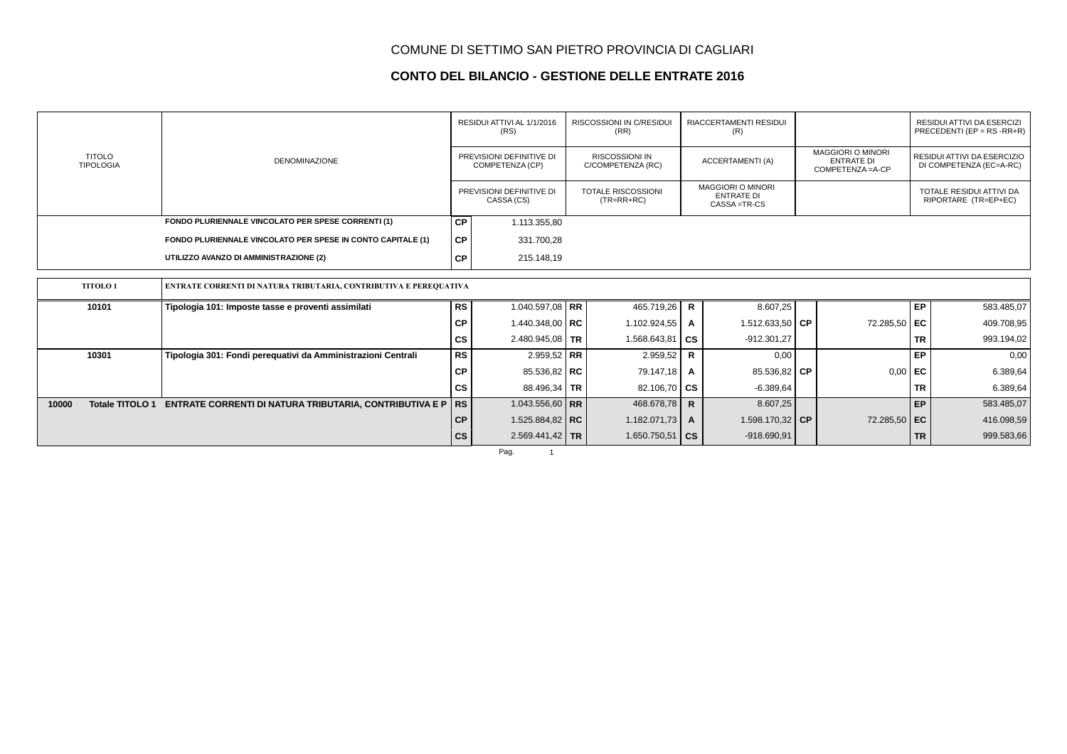### **CONTO DEL BILANCIO - GESTIONE DELLE ENTRATE 2016**

|                                   |                                                                   |               | RESIDUI ATTIVI AL 1/1/2016<br>(RS)<br>PREVISIONI DEFINITIVE DI<br>COMPETENZA (CP) |  | <b>RISCOSSIONI IN C/RESIDUI</b><br>(RR)    |                                                                | RIACCERTAMENTI RESIDUI<br>(R)       |  |                                                                    |           | <b>RESIDUI ATTIVI DA ESERCIZI</b><br>PRECEDENTI (EP = $RS$ -RR+R) |
|-----------------------------------|-------------------------------------------------------------------|---------------|-----------------------------------------------------------------------------------|--|--------------------------------------------|----------------------------------------------------------------|-------------------------------------|--|--------------------------------------------------------------------|-----------|-------------------------------------------------------------------|
| <b>TITOLO</b><br><b>TIPOLOGIA</b> | <b>DENOMINAZIONE</b>                                              |               |                                                                                   |  | <b>RISCOSSIONI IN</b><br>C/COMPETENZA (RC) |                                                                | ACCERTAMENTI (A)                    |  | <b>MAGGIORI O MINORI</b><br><b>ENTRATE DI</b><br>COMPETENZA = A-CP |           | RESIDUI ATTIVI DA ESERCIZIO<br>DI COMPETENZA (EC=A-RC)            |
|                                   |                                                                   |               | PREVISIONI DEFINITIVE DI<br>CASSA (CS)                                            |  | <b>TOTALE RISCOSSIONI</b><br>$(TR=RR+RC)$  | <b>MAGGIORI O MINORI</b><br><b>ENTRATE DI</b><br>CASSA = TR-CS |                                     |  |                                                                    |           | TOTALE RESIDUI ATTIVI DA<br>RIPORTARE (TR=EP+EC)                  |
|                                   | FONDO PLURIENNALE VINCOLATO PER SPESE CORRENTI (1)                | <b>CP</b>     | 1.113.355,80                                                                      |  |                                            |                                                                |                                     |  |                                                                    |           |                                                                   |
|                                   | FONDO PLURIENNALE VINCOLATO PER SPESE IN CONTO CAPITALE (1)       | <b>CP</b>     | 331.700,28                                                                        |  |                                            |                                                                |                                     |  |                                                                    |           |                                                                   |
|                                   | UTILIZZO AVANZO DI AMMINISTRAZIONE (2)                            | <b>CP</b>     | 215.148,19                                                                        |  |                                            |                                                                |                                     |  |                                                                    |           |                                                                   |
|                                   |                                                                   |               |                                                                                   |  |                                            |                                                                |                                     |  |                                                                    |           |                                                                   |
| <b>TITOLO1</b>                    | ENTRATE CORRENTI DI NATURA TRIBUTARIA, CONTRIBUTIVA E PEREQUATIVA |               |                                                                                   |  |                                            |                                                                |                                     |  |                                                                    |           |                                                                   |
| 10101                             | Tipologia 101: Imposte tasse e proventi assimilati                | RS            | 1.040.597,08 RR                                                                   |  | 465.719,26                                 | R.                                                             | 8.607,25                            |  |                                                                    | <b>EP</b> | 583.485,07                                                        |
|                                   |                                                                   | <b>CP</b>     | 1.440.348,00   RC                                                                 |  | 1.102.924,55                               | A                                                              | 1.512.633,50 $\overline{\text{CP}}$ |  | 72.285,50 EC                                                       |           | 409.708,95                                                        |
|                                   |                                                                   | <b>CS</b>     | 2.480.945,08   TR                                                                 |  | 1.568.643,81                               | CS                                                             | $-912.301,27$                       |  |                                                                    | <b>TR</b> | 993.194,02                                                        |
| 10301                             | Tipologia 301: Fondi pereguativi da Amministrazioni Centrali      | <b>RS</b>     | 2.959,52 RR                                                                       |  | 2.959,52                                   | R                                                              | 0,00                                |  |                                                                    | EP        | 0,00                                                              |
|                                   |                                                                   | <b>CP</b>     | 85.536,82 RC                                                                      |  | 79.147,18                                  | A                                                              | 85.536,82 CP                        |  | 0,00                                                               | EC        | 6.389,64                                                          |
|                                   |                                                                   | <b>CS</b>     | 88.496,34   TR                                                                    |  | 82.106,70 $\overline{CS}$                  |                                                                | $-6.389,64$                         |  |                                                                    | <b>TR</b> | 6.389,64                                                          |
| Totale TITOLO 1<br>10000          | <b>ENTRATE CORRENTI DI NATURA TRIBUTARIA, CONTRIBUTIVA E P</b>    | <b>RS</b>     | 1.043.556,60   RR                                                                 |  | 468.678,78                                 | $\mathsf{R}$                                                   | 8.607,25                            |  |                                                                    | EP        | 583.485,07                                                        |
|                                   |                                                                   | CP            | 1.525.884,82   RC                                                                 |  | 1.182.071,73                               | A                                                              | 1.598.170,32 CP                     |  | 72.285,50 EC                                                       |           | 416.098,59                                                        |
|                                   |                                                                   | $\mathsf{cs}$ | $2.569.441,42$ TR                                                                 |  | 1.650.750,51                               | l cs                                                           | $-918.690,91$                       |  |                                                                    | <b>TR</b> | 999.583,66                                                        |
|                                   |                                                                   |               | Pag.                                                                              |  |                                            |                                                                |                                     |  |                                                                    |           |                                                                   |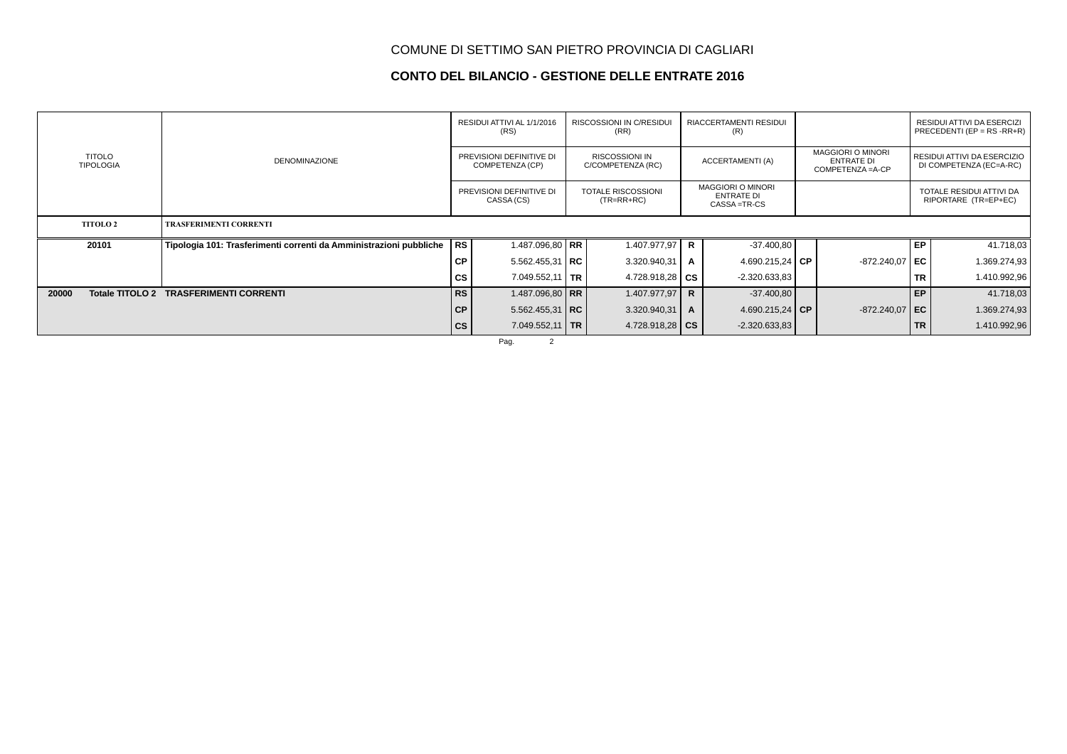### **CONTO DEL BILANCIO - GESTIONE DELLE ENTRATE 2016**

|                                   |                                                                    |                                             | RESIDUI ATTIVI AL 1/1/2016<br>(RS)     |  | RISCOSSIONI IN C/RESIDUI<br>(RR)           |                                                                | RIACCERTAMENTI RESIDUI<br>(R) |                                                                    |                  |           | RESIDUI ATTIVI DA ESERCIZI<br>PRECEDENTI (EP = $RS$ - $RR+R$ ) |
|-----------------------------------|--------------------------------------------------------------------|---------------------------------------------|----------------------------------------|--|--------------------------------------------|----------------------------------------------------------------|-------------------------------|--------------------------------------------------------------------|------------------|-----------|----------------------------------------------------------------|
| <b>TITOLO</b><br><b>TIPOLOGIA</b> | <b>DENOMINAZIONE</b>                                               | PREVISIONI DEFINITIVE DI<br>COMPETENZA (CP) |                                        |  | <b>RISCOSSIONI IN</b><br>C/COMPETENZA (RC) | ACCERTAMENTI (A)                                               |                               | <b>MAGGIORI O MINORI</b><br><b>ENTRATE DI</b><br>COMPETENZA = A-CP |                  |           | RESIDUI ATTIVI DA ESERCIZIO<br>DI COMPETENZA (EC=A-RC)         |
|                                   |                                                                    |                                             | PREVISIONI DEFINITIVE DI<br>CASSA (CS) |  | <b>TOTALE RISCOSSIONI</b><br>$(TR=RR+RC)$  | <b>MAGGIORI O MINORI</b><br><b>ENTRATE DI</b><br>CASSA = TR-CS |                               |                                                                    |                  |           | TOTALE RESIDUI ATTIVI DA<br>RIPORTARE (TR=EP+EC)               |
| <b>TITOLO 2</b>                   | <b>TRASFERIMENTI CORRENTI</b>                                      |                                             |                                        |  |                                            |                                                                |                               |                                                                    |                  |           |                                                                |
| 20101                             | Tipologia 101: Trasferimenti correnti da Amministrazioni pubbliche | RS                                          | 1.487.096,80 RR                        |  | 1.407.977,97 R                             |                                                                | $-37.400,80$                  |                                                                    |                  | EP        | 41.718,03                                                      |
|                                   |                                                                    | <b>CP</b>                                   | $5.562.455.31$ RC                      |  | 3.320.940,31                               | A                                                              | 4.690.215,24   CP             |                                                                    | $-872.240,07$ EC |           | 1.369.274,93                                                   |
|                                   |                                                                    | CS                                          | 7.049.552,11   TR                      |  | 4.728.918,28 $\mathsf{CS}$                 |                                                                | $-2.320.633.83$               |                                                                    |                  | <b>TR</b> | 1.410.992,96                                                   |
| 20000<br>Totale TITOLO 2          | <b>TRASFERIMENTI CORRENTI</b>                                      | <b>RS</b>                                   | 1.487.096,80 RR                        |  | 1.407.977,97                               | $\mathbf R$                                                    | $-37.400,80$                  |                                                                    |                  | EP        | 41.718,03                                                      |
|                                   |                                                                    | CP                                          | 5.562.455,31   RC                      |  | 3.320.940,31                               | A                                                              | 4.690.215,24 CP               |                                                                    | $-872.240,07$ EC |           | 1.369.274,93                                                   |
|                                   |                                                                    | cs                                          | 7.049.552,11   TR                      |  | 4.728.918,28 $\overline{\text{CS}}$        |                                                                | $-2.320.633.83$               |                                                                    |                  | <b>TR</b> | 1.410.992,96                                                   |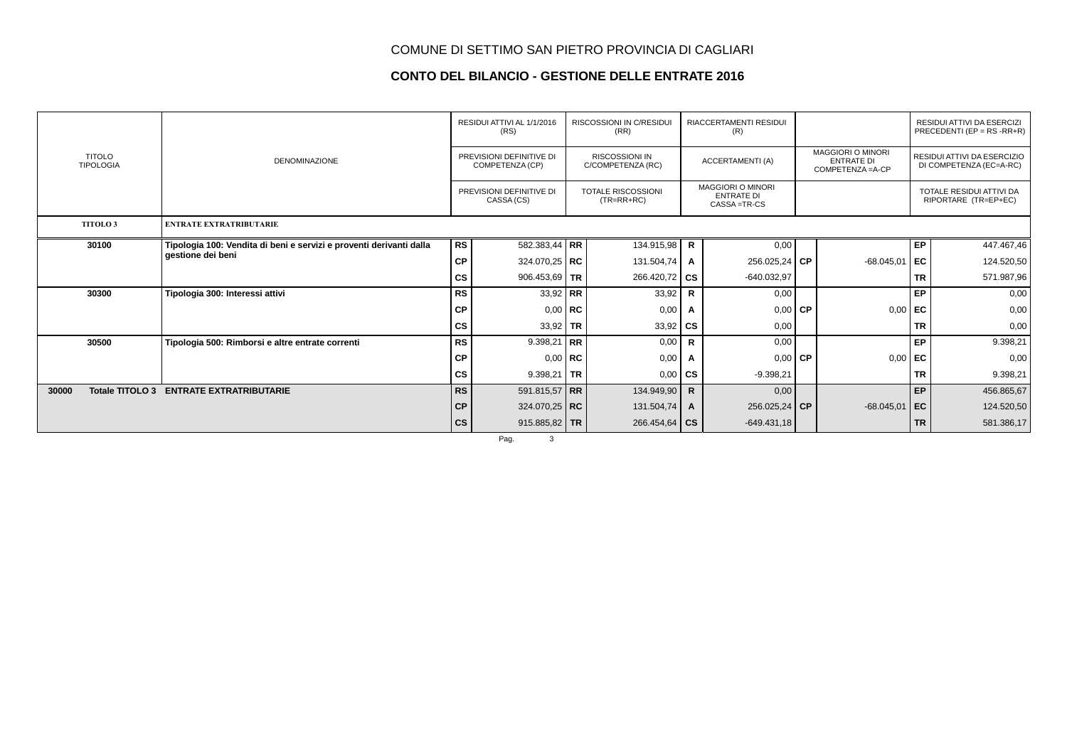### **CONTO DEL BILANCIO - GESTIONE DELLE ENTRATE 2016**

|                                   |                                                                     |               | RESIDUI ATTIVI AL 1/1/2016<br>(RS)          |    | <b>RISCOSSIONI IN C/RESIDUI</b><br>(RR)    |                         | <b>RIACCERTAMENTI RESIDUI</b><br>(R)                           |                                                                    |                 |                                                        | RESIDUI ATTIVI DA ESERCIZI<br>PRECEDENTI (EP = $RS$ -RR+R) |
|-----------------------------------|---------------------------------------------------------------------|---------------|---------------------------------------------|----|--------------------------------------------|-------------------------|----------------------------------------------------------------|--------------------------------------------------------------------|-----------------|--------------------------------------------------------|------------------------------------------------------------|
| <b>TITOLO</b><br><b>TIPOLOGIA</b> | <b>DENOMINAZIONE</b>                                                |               | PREVISIONI DEFINITIVE DI<br>COMPETENZA (CP) |    | <b>RISCOSSIONI IN</b><br>C/COMPETENZA (RC) | <b>ACCERTAMENTI (A)</b> |                                                                | <b>MAGGIORI O MINORI</b><br><b>ENTRATE DI</b><br>COMPETENZA = A-CP |                 | RESIDUI ATTIVI DA ESERCIZIO<br>DI COMPETENZA (EC=A-RC) |                                                            |
|                                   |                                                                     |               | PREVISIONI DEFINITIVE DI<br>CASSA (CS)      |    | <b>TOTALE RISCOSSIONI</b><br>$(TR=RR+RC)$  |                         | <b>MAGGIORI O MINORI</b><br><b>ENTRATE DI</b><br>CASSA = TR-CS |                                                                    |                 |                                                        | TOTALE RESIDUI ATTIVI DA<br>RIPORTARE (TR=EP+EC)           |
| <b>TITOLO3</b>                    | <b>ENTRATE EXTRATRIBUTARIE</b>                                      |               |                                             |    |                                            |                         |                                                                |                                                                    |                 |                                                        |                                                            |
| 30100                             | Tipologia 100: Vendita di beni e servizi e proventi derivanti dalla | <b>RS</b>     | 582.383,44 RR                               |    | 134.915,98                                 | R                       | 0,00                                                           |                                                                    |                 | <b>EP</b>                                              | 447.467,46                                                 |
|                                   | gestione dei beni                                                   | <b>CP</b>     | 324.070,25   RC                             |    | 131.504,74                                 | Α                       | 256.025,24 CP                                                  |                                                                    | $-68.045,01$    | ∣ EC                                                   | 124.520,50                                                 |
|                                   |                                                                     | CS            | 906.453,69   TR                             |    | 266.420,72                                 | <b>CS</b>               | $-640.032,97$                                                  |                                                                    |                 | <b>TR</b>                                              | 571.987,96                                                 |
| 30300                             | Tipologia 300: Interessi attivi                                     | <b>RS</b>     | 33,92 RR                                    |    | 33,92                                      | $\mathsf{R}$            | 0,00                                                           |                                                                    |                 | <b>EP</b>                                              | 0,00                                                       |
|                                   |                                                                     | <b>CP</b>     | $0,00$ RC                                   |    | 0,00                                       | A                       | $0,00$ CP                                                      |                                                                    | 0,00            | EC                                                     | 0,00                                                       |
|                                   |                                                                     | $\mathsf{cs}$ | 33,92 TR                                    |    | 33,92                                      | <b>CS</b>               | 0,00                                                           |                                                                    |                 | <b>TR</b>                                              | 0,00                                                       |
| 30500                             | Tipologia 500: Rimborsi e altre entrate correnti                    | <b>RS</b>     | 9.398,21                                    | RR | 0,00                                       | $\mathsf{R}$            | 0,00                                                           |                                                                    |                 | <b>EP</b>                                              | 9.398,21                                                   |
|                                   |                                                                     | <b>CP</b>     | $0,00$ RC                                   |    | 0,00                                       | A                       | $0,00$ CP                                                      |                                                                    | 0,00            | l EC.                                                  | 0,00                                                       |
|                                   |                                                                     | cs            | 9.398,21   TR                               |    | 0,00                                       | <b>CS</b>               | $-9.398,21$                                                    |                                                                    |                 | <b>TR</b>                                              | 9.398,21                                                   |
| Totale TITOLO 3<br>30000          | <b>ENTRATE EXTRATRIBUTARIE</b>                                      | <b>RS</b>     | 591.815,57 RR                               |    | 134.949,90                                 | $\mathsf{R}$            | 0,00                                                           |                                                                    |                 | <b>EP</b>                                              | 456.865,67                                                 |
|                                   |                                                                     | CP            | 324.070,25   RC                             |    | 131.504,74                                 | A                       | 256.025,24 CP                                                  |                                                                    | $-68.045,01$ EC |                                                        | 124.520,50                                                 |
|                                   |                                                                     | $\mathsf{cs}$ | 915.885,82   TR                             |    | 266.454,64                                 | <b>CS</b>               | $-649.431,18$                                                  |                                                                    |                 | <b>TR</b>                                              | 581.386,17                                                 |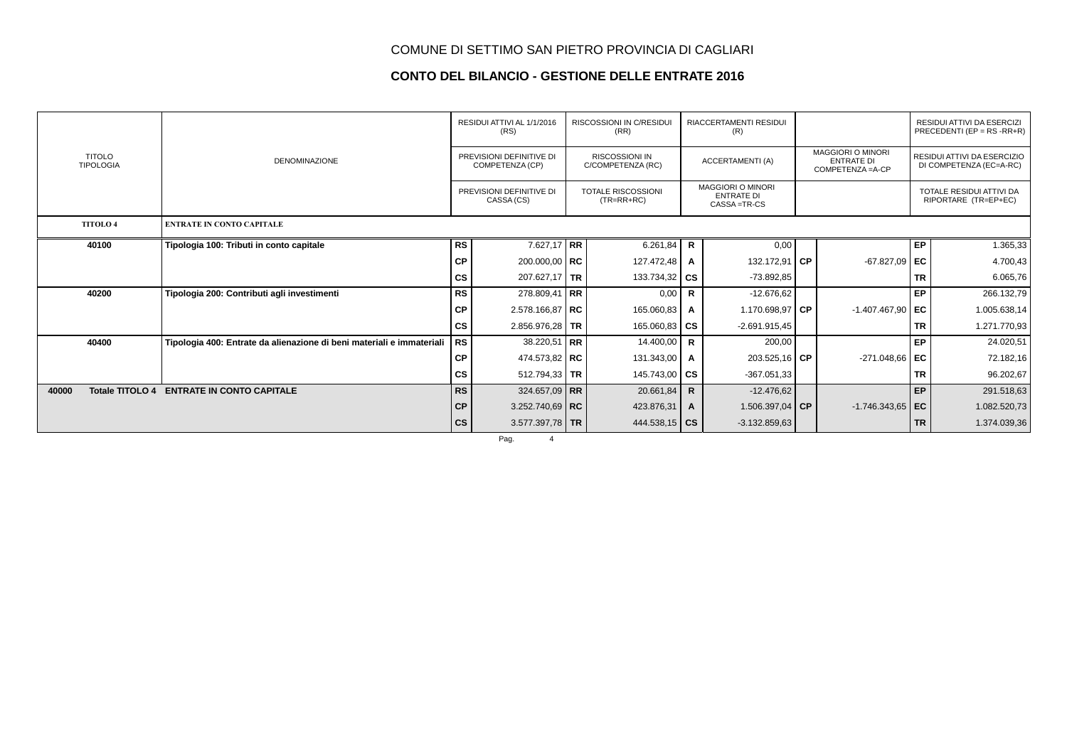### **CONTO DEL BILANCIO - GESTIONE DELLE ENTRATE 2016**

|                                   |                                                                       | RESIDUI ATTIVI AL 1/1/2016<br>(RS) |                                                                                       |  | <b>RISCOSSIONI IN C/RESIDUI</b><br>(RR)<br><b>RISCOSSIONI IN</b><br>C/COMPETENZA (RC) |              | <b>RIACCERTAMENTI RESIDUI</b><br>(R)                           |                                                                    |                    | RESIDUI ATTIVI DA ESERCIZI<br>PRECEDENTI (EP = $RS$ -RR+R) |                                                        |  |
|-----------------------------------|-----------------------------------------------------------------------|------------------------------------|---------------------------------------------------------------------------------------|--|---------------------------------------------------------------------------------------|--------------|----------------------------------------------------------------|--------------------------------------------------------------------|--------------------|------------------------------------------------------------|--------------------------------------------------------|--|
| <b>TITOLO</b><br><b>TIPOLOGIA</b> | <b>DENOMINAZIONE</b>                                                  |                                    | PREVISIONI DEFINITIVE DI<br>COMPETENZA (CP)<br>PREVISIONI DEFINITIVE DI<br>CASSA (CS) |  |                                                                                       |              | <b>ACCERTAMENTI (A)</b>                                        | <b>MAGGIORI O MINORI</b><br><b>ENTRATE DI</b><br>COMPETENZA = A-CP |                    |                                                            | RESIDUI ATTIVI DA ESERCIZIO<br>DI COMPETENZA (EC=A-RC) |  |
|                                   |                                                                       |                                    |                                                                                       |  | <b>TOTALE RISCOSSIONI</b><br>$(TR=RR+RC)$                                             |              | <b>MAGGIORI O MINORI</b><br><b>ENTRATE DI</b><br>CASSA = TR-CS |                                                                    |                    |                                                            | TOTALE RESIDUI ATTIVI DA<br>RIPORTARE (TR=EP+EC)       |  |
| <b>TITOLO4</b>                    | <b>ENTRATE IN CONTO CAPITALE</b>                                      |                                    |                                                                                       |  |                                                                                       |              |                                                                |                                                                    |                    |                                                            |                                                        |  |
| 40100                             | Tipologia 100: Tributi in conto capitale                              | <b>RS</b>                          | 7.627,17 RR                                                                           |  | 6.261,84                                                                              | R            | 0,00                                                           |                                                                    |                    | <b>EP</b>                                                  | 1.365,33                                               |  |
|                                   |                                                                       | <b>CP</b>                          | 200.000,00   RC                                                                       |  | 127.472,48                                                                            | A            | 132.172,91 CP                                                  |                                                                    | $-67.827,09$ EC    |                                                            | 4.700,43                                               |  |
|                                   |                                                                       | cs                                 | 207.627,17   TR                                                                       |  | 133.734,32                                                                            | <b>CS</b>    | $-73.892,85$                                                   |                                                                    |                    | <b>TR</b>                                                  | 6.065,76                                               |  |
| 40200                             | Tipologia 200: Contributi agli investimenti                           | <b>RS</b>                          | $278.809,41$ RR                                                                       |  | 0,00                                                                                  | R            | $-12.676.62$                                                   |                                                                    |                    | <b>EP</b>                                                  | 266.132,79                                             |  |
|                                   |                                                                       | <b>CP</b>                          | $2.578.166,87$ RC                                                                     |  | 165.060,83                                                                            | A            | 1.170.698,97 CP                                                |                                                                    | $-1.407.467,90$ EC |                                                            | 1.005.638,14                                           |  |
|                                   |                                                                       | <b>CS</b>                          | 2.856.976,28 TR                                                                       |  | 165.060,83 $\overline{c}$ CS                                                          |              | $-2.691.915,45$                                                |                                                                    |                    | <b>TR</b>                                                  | 1.271.770,93                                           |  |
| 40400                             | Tipologia 400: Entrate da alienazione di beni materiali e immateriali | <b>RS</b>                          | $38.220,51$ RR                                                                        |  | 14.400,00                                                                             | R            | 200,00                                                         |                                                                    |                    | <b>EP</b>                                                  | 24.020,51                                              |  |
|                                   |                                                                       | <b>CP</b>                          | 474.573,82 RC                                                                         |  | 131.343,00                                                                            | A            | 203.525,16 CP                                                  |                                                                    | $-271.048,66$ EC   |                                                            | 72.182,16                                              |  |
|                                   |                                                                       | CS                                 | 512.794,33 TR                                                                         |  | 145.743,00                                                                            | <b>CS</b>    | $-367.051,33$                                                  |                                                                    |                    | <b>TR</b>                                                  | 96.202,67                                              |  |
| 40000<br>Totale TITOLO 4          | <b>ENTRATE IN CONTO CAPITALE</b>                                      | <b>RS</b>                          | 324.657,09   RR                                                                       |  | 20.661,84                                                                             | $\mathsf{R}$ | $-12.476.62$                                                   |                                                                    |                    | <b>EP</b>                                                  | 291.518,63                                             |  |
|                                   |                                                                       | C <sub>P</sub>                     | 3.252.740,69   RC                                                                     |  | 423.876,31                                                                            | A            | 1.506.397,04 CP                                                |                                                                    | $-1.746.343,65$ EC |                                                            | 1.082.520,73                                           |  |
|                                   |                                                                       | $\mathsf{cs}$                      | 3.577.397,78 TR                                                                       |  | 444.538,15 $\overline{\text{CS}}$                                                     |              | $-3.132.859,63$                                                |                                                                    |                    | <b>TR</b>                                                  | 1.374.039,36                                           |  |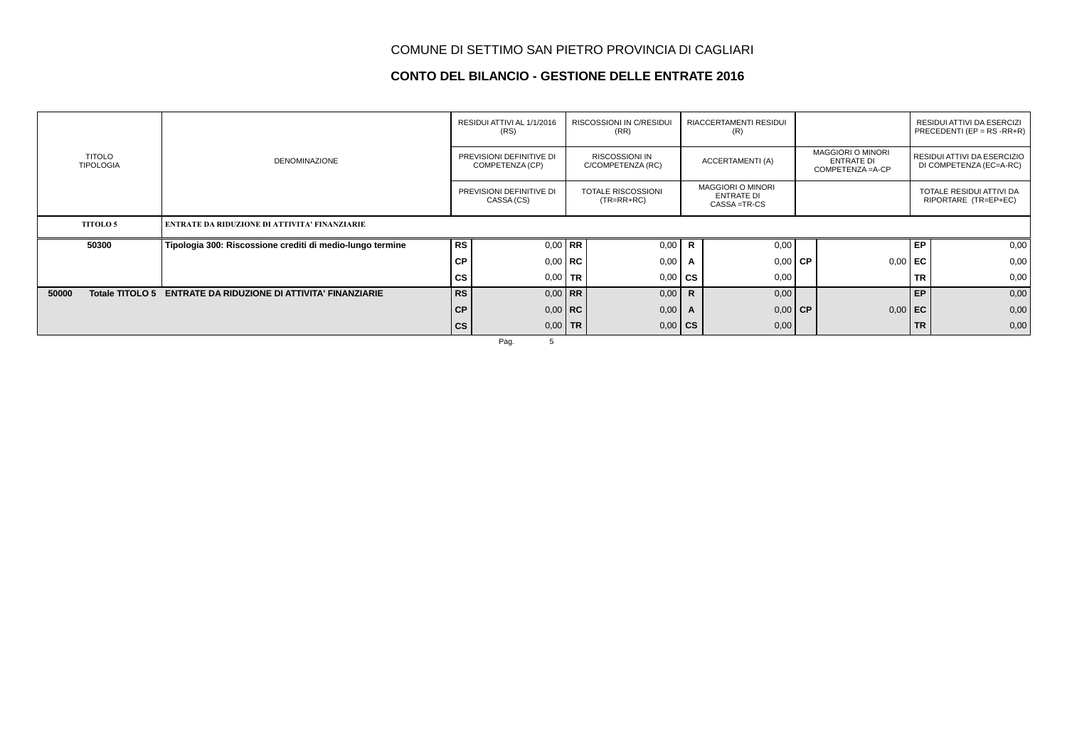### **CONTO DEL BILANCIO - GESTIONE DELLE ENTRATE 2016**

|                                   |                                                           |               | RESIDUI ATTIVI AL 1/1/2016<br>(RS)     |                                                                                           | <b>RISCOSSIONI IN C/RESIDUI</b><br>(RR) |                                                         | RIACCERTAMENTI RESIDUI<br>(R) |      |                                                                    | RESIDUI ATTIVI DA ESERCIZI<br>PRECEDENTI (EP = $RS$ - $RR+R$ ) |      |  |
|-----------------------------------|-----------------------------------------------------------|---------------|----------------------------------------|-------------------------------------------------------------------------------------------|-----------------------------------------|---------------------------------------------------------|-------------------------------|------|--------------------------------------------------------------------|----------------------------------------------------------------|------|--|
| <b>TITOLO</b><br><b>TIPOLOGIA</b> | <b>DENOMINAZIONE</b>                                      |               |                                        | <b>RISCOSSIONI IN</b><br>PREVISIONI DEFINITIVE DI<br>COMPETENZA (CP)<br>C/COMPETENZA (RC) |                                         | ACCERTAMENTI (A)                                        |                               |      | <b>MAGGIORI O MINORI</b><br><b>ENTRATE DI</b><br>COMPETENZA = A-CP | RESIDUI ATTIVI DA ESERCIZIO<br>DI COMPETENZA (EC=A-RC)         |      |  |
|                                   |                                                           |               | PREVISIONI DEFINITIVE DI<br>CASSA (CS) | <b>TOTALE RISCOSSIONI</b><br>$(TR=RR+RC)$                                                 |                                         | <b>MAGGIORI O MINORI</b><br>ENTRATE DI<br>CASSA = TR-CS |                               |      |                                                                    | TOTALE RESIDUI ATTIVI DA<br>RIPORTARE (TR=EP+EC)               |      |  |
| <b>TITOLO 5</b>                   | <b>ENTRATE DA RIDUZIONE DI ATTIVITA' FINANZIARIE</b>      |               |                                        |                                                                                           |                                         |                                                         |                               |      |                                                                    |                                                                |      |  |
| 50300                             | Tipologia 300: Riscossione crediti di medio-lungo termine | RS            | $0,00$ RR                              |                                                                                           | 0,00                                    | $\mathbf R$                                             | 0,00                          |      |                                                                    | EP                                                             | 0,00 |  |
|                                   |                                                           | <b>CP</b>     | $0,00 \mid \mathbf{RC}$                |                                                                                           | 0,00                                    | A                                                       | 0,00                          | l CP | 0,00                                                               | EC                                                             | 0,00 |  |
|                                   |                                                           | <b>CS</b>     | $0,00$ TR                              |                                                                                           | 0,00                                    | <b>CS</b>                                               | 0,00                          |      |                                                                    | <b>TR</b>                                                      | 0,00 |  |
| Totale TITOLO 5<br>50000          | <b>ENTRATE DA RIDUZIONE DI ATTIVITA' FINANZIARIE</b>      | <b>RS</b>     | $0.00$ RR                              |                                                                                           | 0,00                                    | $\mathsf{R}$                                            | 0,00                          |      |                                                                    | EP                                                             | 0,00 |  |
|                                   |                                                           | <b>CP</b>     | $0,00$ RC                              |                                                                                           | 0,00                                    | A                                                       | $0.00$ CP                     |      | $0,00$ EC                                                          |                                                                | 0,00 |  |
|                                   |                                                           | $\mathsf{cs}$ | $0,00$ TR                              |                                                                                           | 0,00                                    | <b>CS</b>                                               | 0,00                          |      |                                                                    | <b>TR</b>                                                      | 0,00 |  |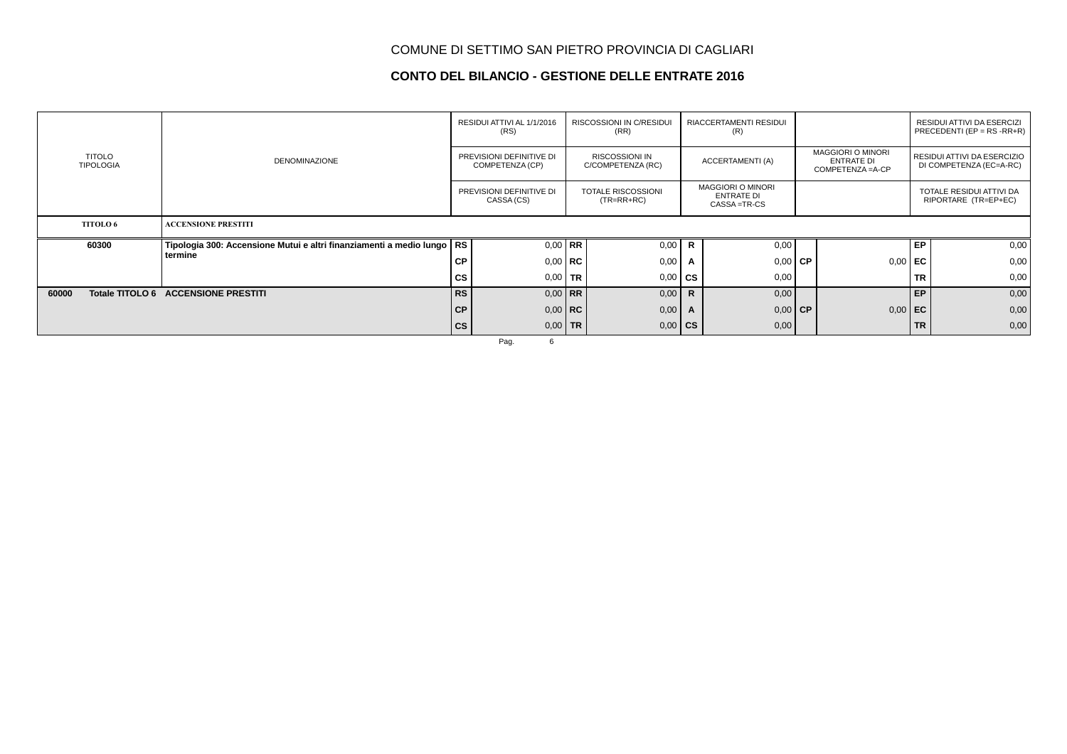### **CONTO DEL BILANCIO - GESTIONE DELLE ENTRATE 2016**

|                                   | <b>DENOMINAZIONE</b>                                                     | RESIDUI ATTIVI AL 1/1/2016<br>(RS)     |                                             | RISCOSSIONI IN C/RESIDUI<br>(RR)          |                                            | RIACCERTAMENTI RESIDUI<br>(R)                           |                  |                                                                    |                |                                                        | RESIDUI ATTIVI DA ESERCIZI<br>PRECEDENTI (EP = $RS$ -RR+R) |
|-----------------------------------|--------------------------------------------------------------------------|----------------------------------------|---------------------------------------------|-------------------------------------------|--------------------------------------------|---------------------------------------------------------|------------------|--------------------------------------------------------------------|----------------|--------------------------------------------------------|------------------------------------------------------------|
| <b>TITOLO</b><br><b>TIPOLOGIA</b> |                                                                          |                                        | PREVISIONI DEFINITIVE DI<br>COMPETENZA (CP) |                                           | <b>RISCOSSIONI IN</b><br>C/COMPETENZA (RC) |                                                         | ACCERTAMENTI (A) | <b>MAGGIORI O MINORI</b><br><b>ENTRATE DI</b><br>COMPETENZA = A-CP |                | RESIDUI ATTIVI DA ESERCIZIO<br>DI COMPETENZA (EC=A-RC) |                                                            |
|                                   |                                                                          | PREVISIONI DEFINITIVE DI<br>CASSA (CS) |                                             | <b>TOTALE RISCOSSIONI</b><br>$(TR=RR+RC)$ |                                            | <b>MAGGIORI O MINORI</b><br>ENTRATE DI<br>CASSA = TR-CS |                  |                                                                    |                | TOTALE RESIDUI ATTIVI DA<br>RIPORTARE (TR=EP+EC)       |                                                            |
| <b>TITOLO 6</b>                   | <b>ACCENSIONE PRESTITI</b>                                               |                                        |                                             |                                           |                                            |                                                         |                  |                                                                    |                |                                                        |                                                            |
| 60300                             | Tipologia 300: Accensione Mutui e altri finanziamenti a medio lungo   RS |                                        | $0.00$ RR                                   |                                           | 0,00                                       | R                                                       | 0,00             |                                                                    |                | EP                                                     | 0,00                                                       |
|                                   | termine                                                                  | <b>CP</b>                              | $0.00$ RC                                   |                                           | 0,00                                       | A                                                       | $0,00$ CP        |                                                                    | 0,00           | EC                                                     | 0,00                                                       |
|                                   |                                                                          | <b>CS</b>                              | $0,00$ TR                                   |                                           | 0,00                                       | <b>CS</b>                                               | 0,00             |                                                                    |                | <b>TR</b>                                              | 0,00                                                       |
| 60000                             | Totale TITOLO 6 ACCENSIONE PRESTITI                                      | RS                                     | $0.00$ RR                                   |                                           | 0,00                                       | $\mathbf{R}$                                            | 0,00             |                                                                    |                | EP                                                     | 0,00                                                       |
|                                   |                                                                          | CP                                     | $0.00$ RC                                   |                                           | 0,00                                       | A                                                       | $0,00$ CP        |                                                                    | $0,00 \mid EC$ |                                                        | 0,00                                                       |
|                                   |                                                                          | $\mathsf{cs}$                          | $0,00$ TR                                   |                                           | 0,00                                       | <b>CS</b>                                               | 0,00             |                                                                    |                | <b>TR</b>                                              | 0,00                                                       |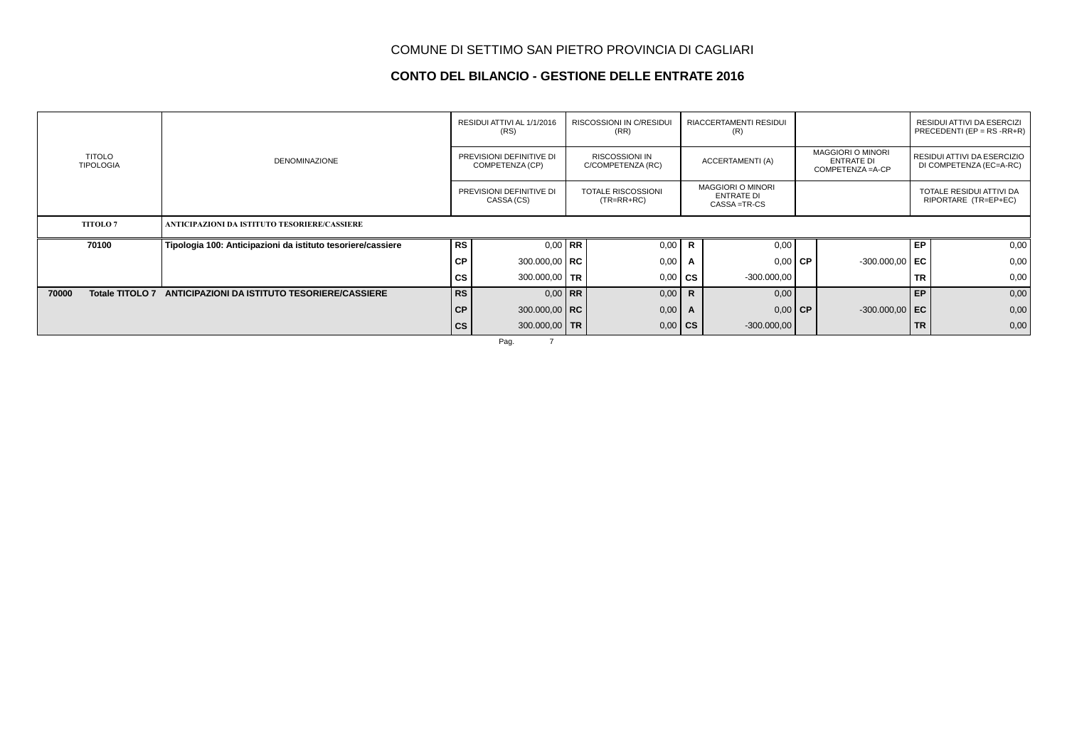### **CONTO DEL BILANCIO - GESTIONE DELLE ENTRATE 2016**

|                                   |                                                             | RESIDUI ATTIVI AL 1/1/2016<br>(RS)          |                 | <b>RISCOSSIONI IN C/RESIDUI</b><br>(RR)    |      | RIACCERTAMENTI RESIDUI<br>(R)                                  |               |                                                                    |                  |                                                        | RESIDUI ATTIVI DA ESERCIZI<br>PRECEDENTI (EP = $RS$ - $RR+R$ ) |
|-----------------------------------|-------------------------------------------------------------|---------------------------------------------|-----------------|--------------------------------------------|------|----------------------------------------------------------------|---------------|--------------------------------------------------------------------|------------------|--------------------------------------------------------|----------------------------------------------------------------|
| <b>TITOLO</b><br><b>TIPOLOGIA</b> | <b>DENOMINAZIONE</b>                                        | PREVISIONI DEFINITIVE DI<br>COMPETENZA (CP) |                 | <b>RISCOSSIONI IN</b><br>C/COMPETENZA (RC) |      | <b>ACCERTAMENTI (A)</b>                                        |               | <b>MAGGIORI O MINORI</b><br><b>ENTRATE DI</b><br>COMPETENZA = A-CP |                  | RESIDUI ATTIVI DA ESERCIZIO<br>DI COMPETENZA (EC=A-RC) |                                                                |
|                                   |                                                             | PREVISIONI DEFINITIVE DI<br>CASSA (CS)      |                 | TOTALE RISCOSSIONI<br>$(TR=RR+RC)$         |      | <b>MAGGIORI O MINORI</b><br><b>ENTRATE DI</b><br>CASSA = TR-CS |               |                                                                    |                  | TOTALE RESIDUI ATTIVI DA<br>RIPORTARE (TR=EP+EC)       |                                                                |
| <b>TITOLO7</b>                    | ANTICIPAZIONI DA ISTITUTO TESORIERE/CASSIERE                |                                             |                 |                                            |      |                                                                |               |                                                                    |                  |                                                        |                                                                |
| 70100                             | Tipologia 100: Anticipazioni da istituto tesoriere/cassiere | <b>RS</b>                                   | $0.00$ RR       |                                            | 0,00 | $\mathsf{R}$                                                   | 0,00          |                                                                    |                  | EP                                                     | 0,00                                                           |
|                                   |                                                             | <b>CP</b>                                   | 300.000,00   RC |                                            | 0,00 | A                                                              | $0,00$ CP     |                                                                    | $-300.000,00$ EC |                                                        | 0,00                                                           |
|                                   |                                                             | <b>CS</b>                                   | 300.000,00   TR |                                            | 0,00 | <b>CS</b>                                                      | $-300.000,00$ |                                                                    |                  | <b>TR</b>                                              | 0,00                                                           |
| 70000<br><b>Totale TITOLO 7</b>   | ANTICIPAZIONI DA ISTITUTO TESORIERE/CASSIERE                | <b>RS</b>                                   | $0.00$ RR       |                                            | 0,00 | $\mathbf R$                                                    | 0,00          |                                                                    |                  | EP                                                     | 0,00                                                           |
|                                   |                                                             | <b>CP</b>                                   | 300.000,00   RC |                                            | 0,00 | $\mathsf{A}$                                                   | $0.00$ CP     |                                                                    | $-300.000,00$ EC |                                                        | 0,00                                                           |
|                                   |                                                             | $\mathsf{cs}$                               | 300.000,00 TR   |                                            | 0,00 | <b>CS</b>                                                      | $-300.000,00$ |                                                                    |                  | <b>TR</b>                                              | 0,00                                                           |